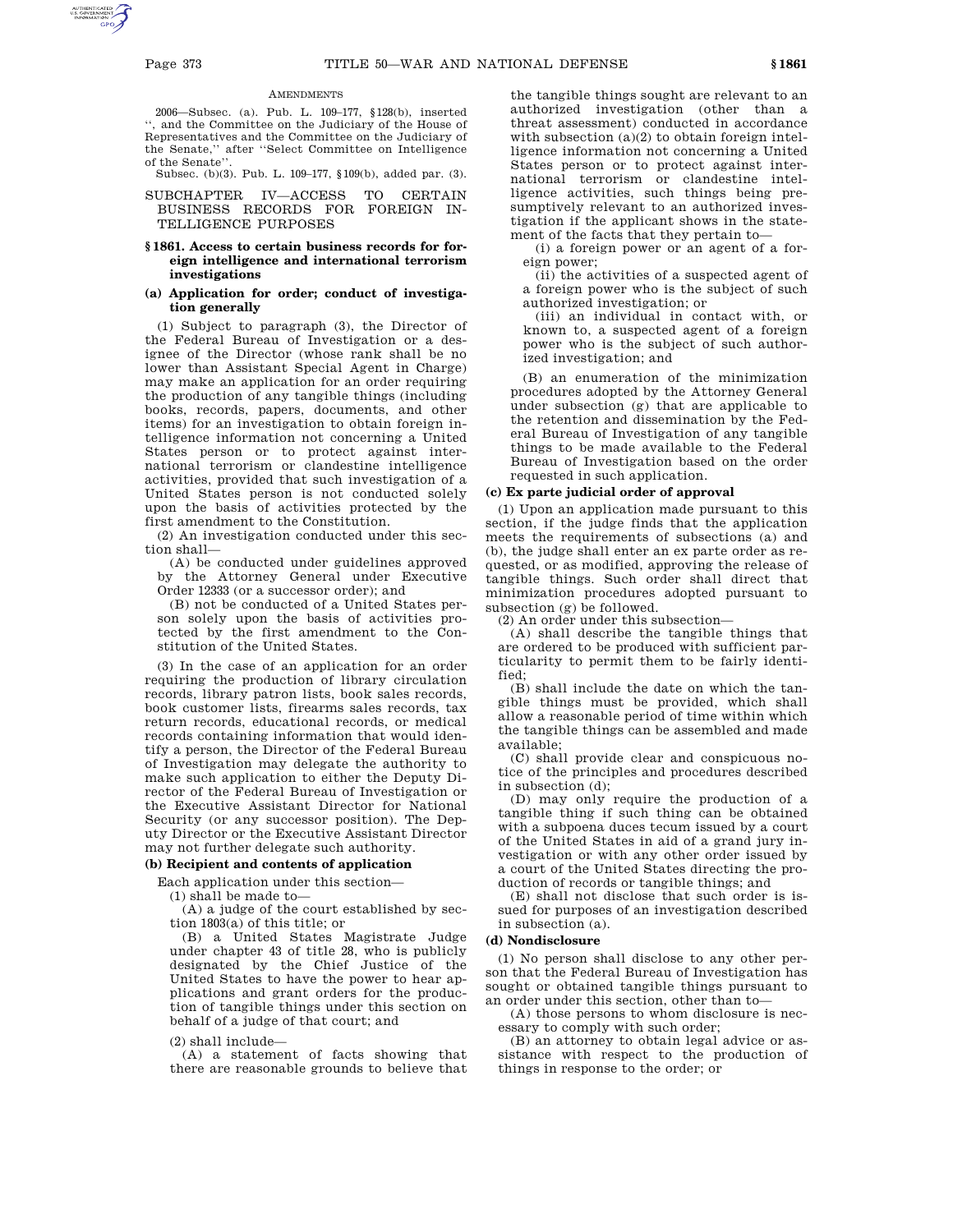## **AMENDMENTS**

2006—Subsec. (a). Pub. L. 109–177, §128(b), inserted '', and the Committee on the Judiciary of the House of Representatives and the Committee on the Judiciary of the Senate,'' after ''Select Committee on Intelligence of the Senate''.

Subsec. (b)(3). Pub. L. 109–177, §109(b), added par. (3).

SUBCHAPTER IV—ACCESS TO CERTAIN BUSINESS RECORDS FOR FOREIGN IN-TELLIGENCE PURPOSES

## **§ 1861. Access to certain business records for foreign intelligence and international terrorism investigations**

### **(a) Application for order; conduct of investigation generally**

(1) Subject to paragraph (3), the Director of the Federal Bureau of Investigation or a designee of the Director (whose rank shall be no lower than Assistant Special Agent in Charge) may make an application for an order requiring the production of any tangible things (including books, records, papers, documents, and other items) for an investigation to obtain foreign intelligence information not concerning a United States person or to protect against international terrorism or clandestine intelligence activities, provided that such investigation of a United States person is not conducted solely upon the basis of activities protected by the first amendment to the Constitution.

(2) An investigation conducted under this section shall—

(A) be conducted under guidelines approved by the Attorney General under Executive Order 12333 (or a successor order); and

(B) not be conducted of a United States person solely upon the basis of activities protected by the first amendment to the Constitution of the United States.

(3) In the case of an application for an order requiring the production of library circulation records, library patron lists, book sales records, book customer lists, firearms sales records, tax return records, educational records, or medical records containing information that would identify a person, the Director of the Federal Bureau of Investigation may delegate the authority to make such application to either the Deputy Director of the Federal Bureau of Investigation or the Executive Assistant Director for National Security (or any successor position). The Deputy Director or the Executive Assistant Director may not further delegate such authority.

## **(b) Recipient and contents of application**

Each application under this section—

(1) shall be made to—

(A) a judge of the court established by section 1803(a) of this title; or

(B) a United States Magistrate Judge under chapter 43 of title 28, who is publicly designated by the Chief Justice of the United States to have the power to hear applications and grant orders for the production of tangible things under this section on behalf of a judge of that court; and

(2) shall include—

(A) a statement of facts showing that there are reasonable grounds to believe that the tangible things sought are relevant to an authorized investigation (other than a threat assessment) conducted in accordance with subsection  $(a)(2)$  to obtain foreign intelligence information not concerning a United States person or to protect against international terrorism or clandestine intelligence activities, such things being presumptively relevant to an authorized investigation if the applicant shows in the statement of the facts that they pertain to—

(i) a foreign power or an agent of a foreign power;

(ii) the activities of a suspected agent of a foreign power who is the subject of such authorized investigation; or

(iii) an individual in contact with, or known to, a suspected agent of a foreign power who is the subject of such authorized investigation; and

(B) an enumeration of the minimization procedures adopted by the Attorney General under subsection (g) that are applicable to the retention and dissemination by the Federal Bureau of Investigation of any tangible things to be made available to the Federal Bureau of Investigation based on the order requested in such application.

### **(c) Ex parte judicial order of approval**

(1) Upon an application made pursuant to this section, if the judge finds that the application meets the requirements of subsections (a) and (b), the judge shall enter an ex parte order as requested, or as modified, approving the release of tangible things. Such order shall direct that minimization procedures adopted pursuant to subsection (g) be followed.

(2) An order under this subsection—

(A) shall describe the tangible things that are ordered to be produced with sufficient particularity to permit them to be fairly identified;

(B) shall include the date on which the tangible things must be provided, which shall allow a reasonable period of time within which the tangible things can be assembled and made available;

(C) shall provide clear and conspicuous notice of the principles and procedures described in subsection (d);

(D) may only require the production of a tangible thing if such thing can be obtained with a subpoena duces tecum issued by a court of the United States in aid of a grand jury investigation or with any other order issued by a court of the United States directing the production of records or tangible things; and

(E) shall not disclose that such order is issued for purposes of an investigation described in subsection (a).

### **(d) Nondisclosure**

(1) No person shall disclose to any other person that the Federal Bureau of Investigation has sought or obtained tangible things pursuant to an order under this section, other than to—

(A) those persons to whom disclosure is necessary to comply with such order;

(B) an attorney to obtain legal advice or assistance with respect to the production of things in response to the order; or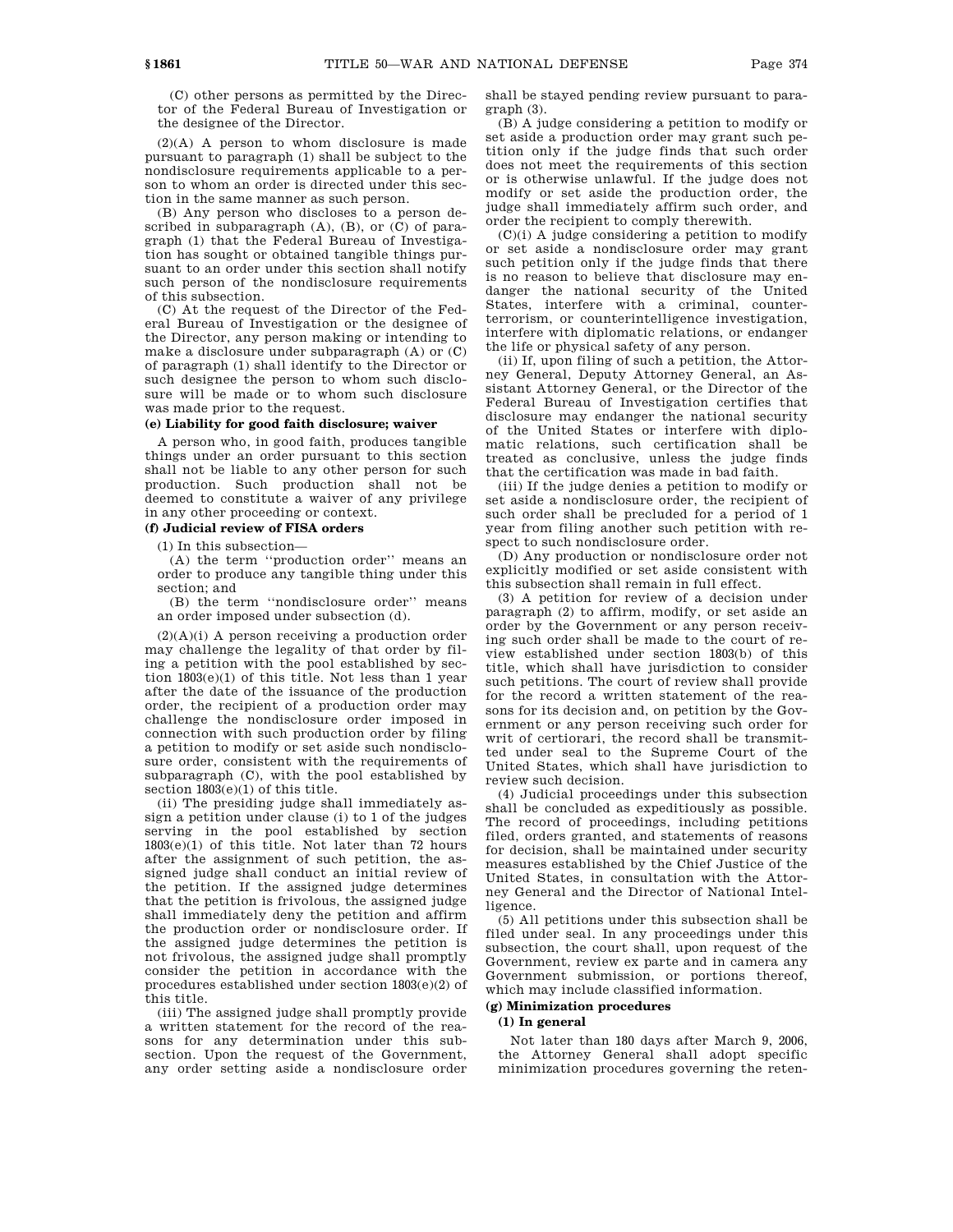(C) other persons as permitted by the Director of the Federal Bureau of Investigation or the designee of the Director.

 $(2)(A)$  A person to whom disclosure is made pursuant to paragraph (1) shall be subject to the nondisclosure requirements applicable to a person to whom an order is directed under this section in the same manner as such person.

(B) Any person who discloses to a person described in subparagraph (A), (B), or (C) of paragraph (1) that the Federal Bureau of Investigation has sought or obtained tangible things pursuant to an order under this section shall notify such person of the nondisclosure requirements of this subsection.

(C) At the request of the Director of the Federal Bureau of Investigation or the designee of the Director, any person making or intending to make a disclosure under subparagraph (A) or (C) of paragraph (1) shall identify to the Director or such designee the person to whom such disclosure will be made or to whom such disclosure was made prior to the request.

## **(e) Liability for good faith disclosure; waiver**

A person who, in good faith, produces tangible things under an order pursuant to this section shall not be liable to any other person for such production. Such production shall not be deemed to constitute a waiver of any privilege in any other proceeding or context.

# **(f) Judicial review of FISA orders**

(1) In this subsection—

(A) the term ''production order'' means an order to produce any tangible thing under this section; and

(B) the term ''nondisclosure order'' means an order imposed under subsection (d).

 $(2)(A)(i)$  A person receiving a production order may challenge the legality of that order by filing a petition with the pool established by section 1803(e)(1) of this title. Not less than 1 year after the date of the issuance of the production order, the recipient of a production order may challenge the nondisclosure order imposed in connection with such production order by filing a petition to modify or set aside such nondisclosure order, consistent with the requirements of subparagraph (C), with the pool established by section  $1803(e)(1)$  of this title.

(ii) The presiding judge shall immediately assign a petition under clause (i) to 1 of the judges serving in the pool established by section 1803(e)(1) of this title. Not later than 72 hours after the assignment of such petition, the assigned judge shall conduct an initial review of the petition. If the assigned judge determines that the petition is frivolous, the assigned judge shall immediately deny the petition and affirm the production order or nondisclosure order. If the assigned judge determines the petition is not frivolous, the assigned judge shall promptly consider the petition in accordance with the procedures established under section 1803(e)(2) of this title.

(iii) The assigned judge shall promptly provide a written statement for the record of the reasons for any determination under this subsection. Upon the request of the Government, any order setting aside a nondisclosure order shall be stayed pending review pursuant to paragraph (3).

(B) A judge considering a petition to modify or set aside a production order may grant such petition only if the judge finds that such order does not meet the requirements of this section or is otherwise unlawful. If the judge does not modify or set aside the production order, the judge shall immediately affirm such order, and order the recipient to comply therewith.

 $(C)(i)$  A judge considering a petition to modify or set aside a nondisclosure order may grant such petition only if the judge finds that there is no reason to believe that disclosure may endanger the national security of the United States, interfere with a criminal, counterterrorism, or counterintelligence investigation, interfere with diplomatic relations, or endanger the life or physical safety of any person.

(ii) If, upon filing of such a petition, the Attorney General, Deputy Attorney General, an Assistant Attorney General, or the Director of the Federal Bureau of Investigation certifies that disclosure may endanger the national security of the United States or interfere with diplomatic relations, such certification shall be treated as conclusive, unless the judge finds that the certification was made in bad faith.

(iii) If the judge denies a petition to modify or set aside a nondisclosure order, the recipient of such order shall be precluded for a period of 1 year from filing another such petition with respect to such nondisclosure order.

(D) Any production or nondisclosure order not explicitly modified or set aside consistent with this subsection shall remain in full effect.

(3) A petition for review of a decision under paragraph (2) to affirm, modify, or set aside an order by the Government or any person receiving such order shall be made to the court of review established under section 1803(b) of this title, which shall have jurisdiction to consider such petitions. The court of review shall provide for the record a written statement of the reasons for its decision and, on petition by the Government or any person receiving such order for writ of certiorari, the record shall be transmitted under seal to the Supreme Court of the United States, which shall have jurisdiction to review such decision.

(4) Judicial proceedings under this subsection shall be concluded as expeditiously as possible. The record of proceedings, including petitions filed, orders granted, and statements of reasons for decision, shall be maintained under security measures established by the Chief Justice of the United States, in consultation with the Attorney General and the Director of National Intelligence.

(5) All petitions under this subsection shall be filed under seal. In any proceedings under this subsection, the court shall, upon request of the Government, review ex parte and in camera any Government submission, or portions thereof, which may include classified information.

## **(g) Minimization procedures**

## **(1) In general**

Not later than 180 days after March 9, 2006, the Attorney General shall adopt specific minimization procedures governing the reten-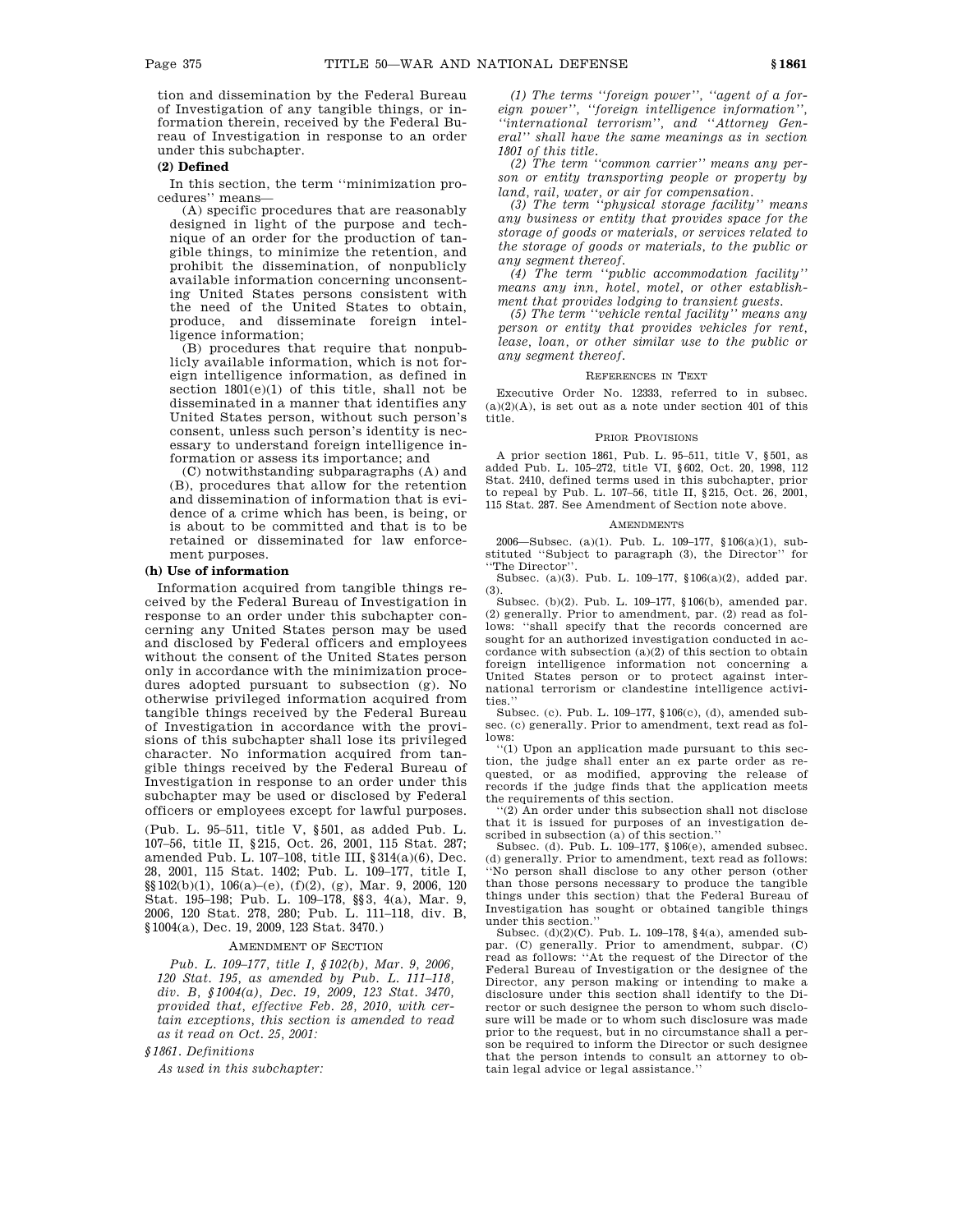tion and dissemination by the Federal Bureau of Investigation of any tangible things, or information therein, received by the Federal Bureau of Investigation in response to an order under this subchapter.

### **(2) Defined**

In this section, the term ''minimization procedures'' means—

(A) specific procedures that are reasonably designed in light of the purpose and technique of an order for the production of tangible things, to minimize the retention, and prohibit the dissemination, of nonpublicly available information concerning unconsenting United States persons consistent with the need of the United States to obtain, produce, and disseminate foreign intelligence information;

(B) procedures that require that nonpublicly available information, which is not foreign intelligence information, as defined in section 1801(e)(1) of this title, shall not be disseminated in a manner that identifies any United States person, without such person's consent, unless such person's identity is necessary to understand foreign intelligence information or assess its importance; and

(C) notwithstanding subparagraphs (A) and (B), procedures that allow for the retention and dissemination of information that is evidence of a crime which has been, is being, or is about to be committed and that is to be retained or disseminated for law enforcement purposes.

## **(h) Use of information**

Information acquired from tangible things received by the Federal Bureau of Investigation in response to an order under this subchapter concerning any United States person may be used and disclosed by Federal officers and employees without the consent of the United States person only in accordance with the minimization procedures adopted pursuant to subsection (g). No otherwise privileged information acquired from tangible things received by the Federal Bureau of Investigation in accordance with the provisions of this subchapter shall lose its privileged character. No information acquired from tangible things received by the Federal Bureau of Investigation in response to an order under this subchapter may be used or disclosed by Federal officers or employees except for lawful purposes.

(Pub. L. 95–511, title V, §501, as added Pub. L. 107–56, title II, §215, Oct. 26, 2001, 115 Stat. 287; amended Pub. L. 107–108, title III, §314(a)(6), Dec. 28, 2001, 115 Stat. 1402; Pub. L. 109–177, title I, §§102(b)(1), 106(a)–(e), (f)(2), (g), Mar. 9, 2006, 120 Stat. 195–198; Pub. L. 109–178, §§3, 4(a), Mar. 9, 2006, 120 Stat. 278, 280; Pub. L. 111–118, div. B, §1004(a), Dec. 19, 2009, 123 Stat. 3470.)

#### AMENDMENT OF SECTION

*Pub. L. 109–177, title I, §102(b), Mar. 9, 2006, 120 Stat. 195, as amended by Pub. L. 111–118, div. B, §1004(a), Dec. 19, 2009, 123 Stat. 3470, provided that, effective Feb. 28, 2010, with certain exceptions, this section is amended to read as it read on Oct. 25, 2001:*

*§1861. Definitions*

*As used in this subchapter:*

*(1) The terms ''foreign power'', ''agent of a foreign power'', ''foreign intelligence information'', ''international terrorism'', and ''Attorney General'' shall have the same meanings as in section 1801 of this title.*

*(2) The term ''common carrier'' means any person or entity transporting people or property by land, rail, water, or air for compensation.*

*(3) The term ''physical storage facility'' means any business or entity that provides space for the storage of goods or materials, or services related to the storage of goods or materials, to the public or any segment thereof.*

*(4) The term ''public accommodation facility'' means any inn, hotel, motel, or other establishment that provides lodging to transient guests.*

*(5) The term ''vehicle rental facility'' means any person or entity that provides vehicles for rent, lease, loan, or other similar use to the public or any segment thereof.*

### REFERENCES IN TEXT

Executive Order No. 12333, referred to in subsec.  $(a)(2)(A)$ , is set out as a note under section 401 of this title.

### PRIOR PROVISIONS

A prior section 1861, Pub. L. 95–511, title V, §501, as added Pub. L. 105–272, title VI, §602, Oct. 20, 1998, 112 Stat. 2410, defined terms used in this subchapter, prior to repeal by Pub. L. 107–56, title II, §215, Oct. 26, 2001, 115 Stat. 287. See Amendment of Section note above.

#### **AMENDMENTS**

2006—Subsec. (a)(1). Pub. L. 109–177, §106(a)(1), substituted ''Subject to paragraph (3), the Director'' for ''The Director''.

Subsec. (a)(3). Pub. L. 109–177, §106(a)(2), added par.

(3). Subsec. (b)(2). Pub. L. 109–177, §106(b), amended par. (2) generally. Prior to amendment, par. (2) read as follows: ''shall specify that the records concerned are sought for an authorized investigation conducted in accordance with subsection (a)(2) of this section to obtain foreign intelligence information not concerning a United States person or to protect against international terrorism or clandestine intelligence activities.''

Subsec. (c). Pub. L. 109–177, §106(c), (d), amended subsec. (c) generally. Prior to amendment, text read as follows:

''(1) Upon an application made pursuant to this section, the judge shall enter an ex parte order as requested, or as modified, approving the release of records if the judge finds that the application meets the requirements of this section.

''(2) An order under this subsection shall not disclose that it is issued for purposes of an investigation described in subsection (a) of this section.''

Subsec. (d). Pub. L. 109–177, §106(e), amended subsec. (d) generally. Prior to amendment, text read as follows: ''No person shall disclose to any other person (other than those persons necessary to produce the tangible things under this section) that the Federal Bureau of Investigation has sought or obtained tangible things under this section.''

Subsec. (d)(2)(C). Pub. L. 109–178, §4(a), amended subpar. (C) generally. Prior to amendment, subpar. (C) read as follows: ''At the request of the Director of the Federal Bureau of Investigation or the designee of the Director, any person making or intending to make a disclosure under this section shall identify to the Director or such designee the person to whom such disclosure will be made or to whom such disclosure was made prior to the request, but in no circumstance shall a person be required to inform the Director or such designee that the person intends to consult an attorney to obtain legal advice or legal assistance.''